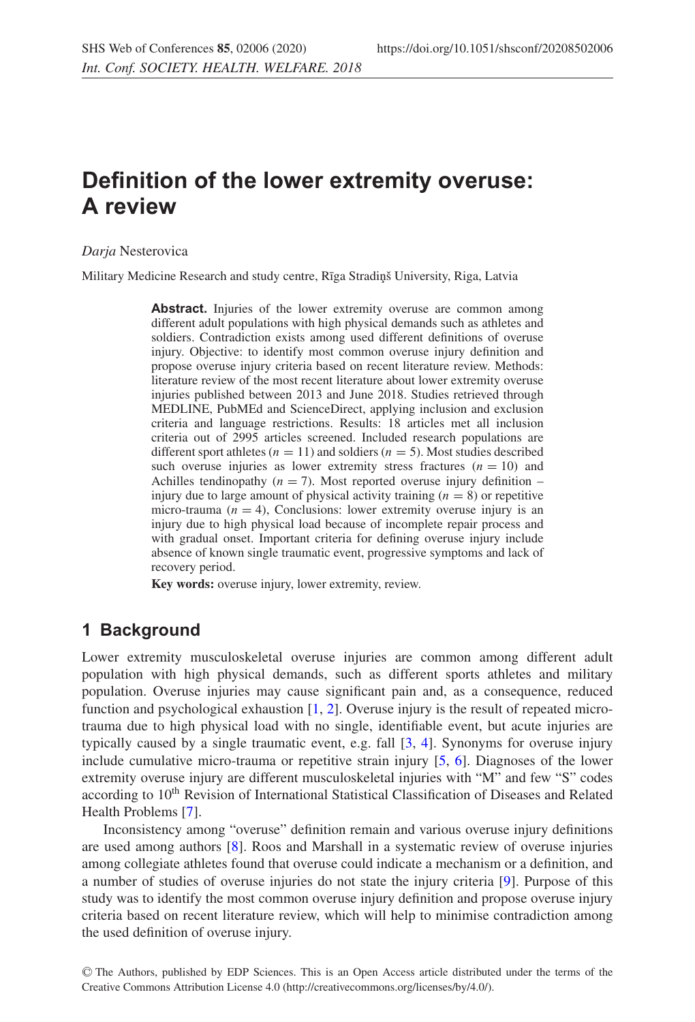# **Definition of the lower extremity overuse: A review**

#### *Darja* Nesterovica

Military Medicine Research and study centre, Rīga Stradiņš University, Riga, Latvia

Abstract. Injuries of the lower extremity overuse are common among different adult populations with high physical demands such as athletes and soldiers. Contradiction exists among used different definitions of overuse injury. Objective: to identify most common overuse injury definition and propose overuse injury criteria based on recent literature review. Methods: literature review of the most recent literature about lower extremity overuse injuries published between 2013 and June 2018. Studies retrieved through MEDLINE, PubMEd and ScienceDirect, applying inclusion and exclusion criteria and language restrictions. Results: 18 articles met all inclusion criteria out of 2995 articles screened. Included research populations are different sport athletes ( $n = 11$ ) and soldiers ( $n = 5$ ). Most studies described such overuse injuries as lower extremity stress fractures  $(n = 10)$  and Achilles tendinopathy ( $n = 7$ ). Most reported overuse injury definition – injury due to large amount of physical activity training  $(n = 8)$  or repetitive micro-trauma ( $n = 4$ ), Conclusions: lower extremity overuse injury is an injury due to high physical load because of incomplete repair process and with gradual onset. Important criteria for defining overuse injury include absence of known single traumatic event, progressive symptoms and lack of recovery period.

**Key words:** overuse injury, lower extremity, review.

#### **1 Background**

Lower extremity musculoskeletal overuse injuries are common among different adult population with high physical demands, such as different sports athletes and military population. Overuse injuries may cause significant pain and, as a consequence, reduced function and psychological exhaustion  $[1, 2]$  $[1, 2]$  $[1, 2]$ . Overuse injury is the result of repeated microtrauma due to high physical load with no single, identifiable event, but acute injuries are typically caused by a single traumatic event, e.g. fall [\[3](#page-4-2), [4](#page-4-3)]. Synonyms for overuse injury include cumulative micro-trauma or repetitive strain injury [\[5](#page-4-4), [6](#page-4-5)]. Diagnoses of the lower extremity overuse injury are different musculoskeletal injuries with "M" and few "S" codes according to 10th Revision of International Statistical Classification of Diseases and Related Health Problems [\[7](#page-4-6)].

Inconsistency among "overuse" definition remain and various overuse injury definitions are used among authors [\[8\]](#page-4-7). Roos and Marshall in a systematic review of overuse injuries among collegiate athletes found that overuse could indicate a mechanism or a definition, and a number of studies of overuse injuries do not state the injury criteria [\[9](#page-4-8)]. Purpose of this study was to identify the most common overuse injury definition and propose overuse injury criteria based on recent literature review, which will help to minimise contradiction among the used definition of overuse injury.

<sup>C</sup> The Authors, published by EDP Sciences. This is an Open Access article distributed under the terms of the Creative Commons Attribution License 4.0 (http://creativecommons.org/licenses/by/4.0/).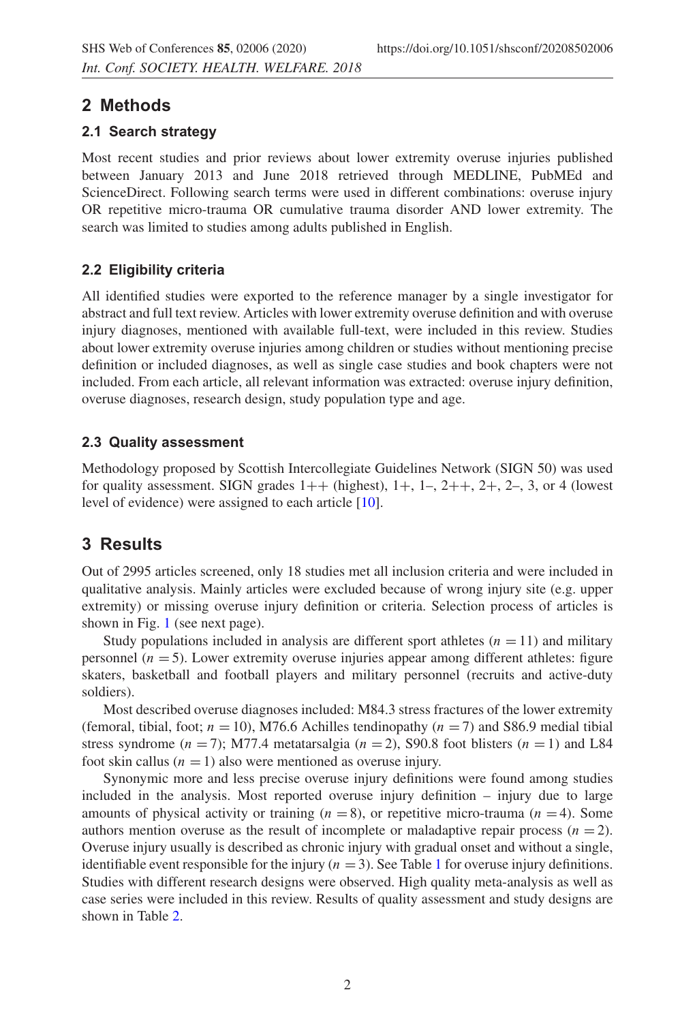## **2 Methods**

#### **2.1 Search strategy**

Most recent studies and prior reviews about lower extremity overuse injuries published between January 2013 and June 2018 retrieved through MEDLINE, PubMEd and ScienceDirect. Following search terms were used in different combinations: overuse injury OR repetitive micro-trauma OR cumulative trauma disorder AND lower extremity. The search was limited to studies among adults published in English.

### **2.2 Eligibility criteria**

All identified studies were exported to the reference manager by a single investigator for abstract and full text review. Articles with lower extremity overuse definition and with overuse injury diagnoses, mentioned with available full-text, were included in this review. Studies about lower extremity overuse injuries among children or studies without mentioning precise definition or included diagnoses, as well as single case studies and book chapters were not included. From each article, all relevant information was extracted: overuse injury definition, overuse diagnoses, research design, study population type and age.

#### **2.3 Quality assessment**

Methodology proposed by Scottish Intercollegiate Guidelines Network (SIGN 50) was used for quality assessment. SIGN grades  $1++$  (highest),  $1+, 1-, 2++, 2+, 2-, 3$ , or 4 (lowest level of evidence) were assigned to each article [\[10](#page-4-9)].

# **3 Results**

Out of 2995 articles screened, only 18 studies met all inclusion criteria and were included in qualitative analysis. Mainly articles were excluded because of wrong injury site (e.g. upper extremity) or missing overuse injury definition or criteria. Selection process of articles is shown in Fig. [1](#page-2-0) (see next page).

Study populations included in analysis are different sport athletes  $(n = 11)$  and military personnel  $(n = 5)$ . Lower extremity overuse injuries appear among different athletes: figure skaters, basketball and football players and military personnel (recruits and active-duty soldiers).

Most described overuse diagnoses included: M84.3 stress fractures of the lower extremity (femoral, tibial, foot;  $n = 10$ ), M76.6 Achilles tendinopathy ( $n = 7$ ) and S86.9 medial tibial stress syndrome ( $n = 7$ ); M77.4 metatarsalgia ( $n = 2$ ), S90.8 foot blisters ( $n = 1$ ) and L84 foot skin callus  $(n = 1)$  also were mentioned as overuse injury.

Synonymic more and less precise overuse injury definitions were found among studies included in the analysis. Most reported overuse injury definition – injury due to large amounts of physical activity or training  $(n = 8)$ , or repetitive micro-trauma  $(n = 4)$ . Some authors mention overuse as the result of incomplete or maladaptive repair process  $(n = 2)$ . Overuse injury usually is described as chronic injury with gradual onset and without a single, identifiable event responsible for the injury  $(n = 3)$ . See Table [1](#page-3-0) for overuse injury definitions. Studies with different research designs were observed. High quality meta-analysis as well as case series were included in this review. Results of quality assessment and study designs are shown in Table [2.](#page-3-1)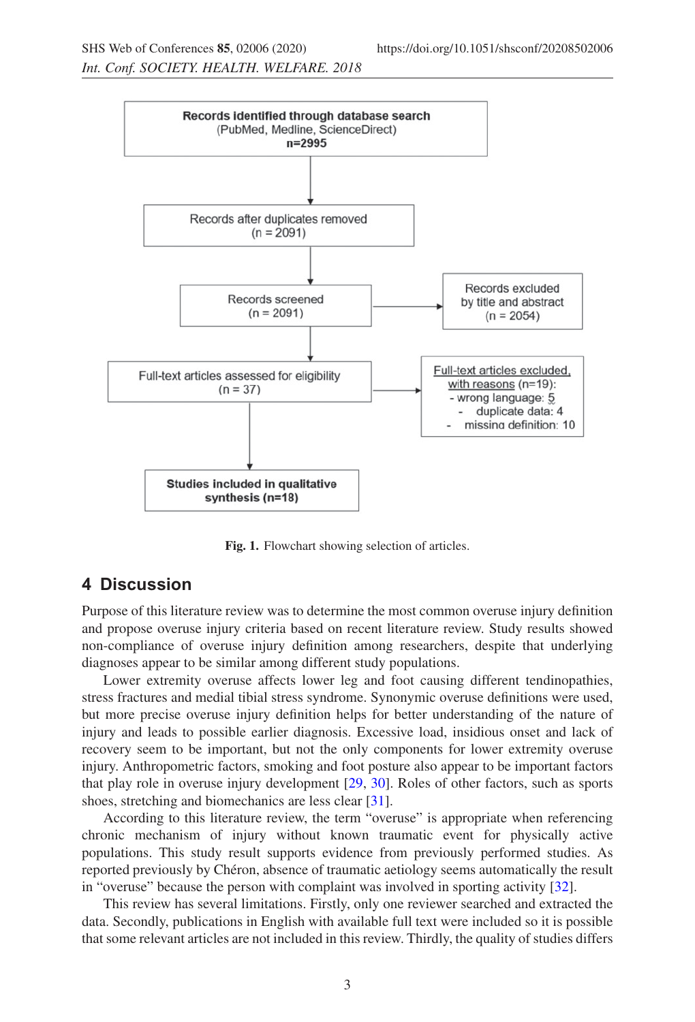<span id="page-2-0"></span>

**Fig. 1.** Flowchart showing selection of articles.

#### **4 Discussion**

Purpose of this literature review was to determine the most common overuse injury definition and propose overuse injury criteria based on recent literature review. Study results showed non-compliance of overuse injury definition among researchers, despite that underlying diagnoses appear to be similar among different study populations.

Lower extremity overuse affects lower leg and foot causing different tendinopathies, stress fractures and medial tibial stress syndrome. Synonymic overuse definitions were used, but more precise overuse injury definition helps for better understanding of the nature of injury and leads to possible earlier diagnosis. Excessive load, insidious onset and lack of recovery seem to be important, but not the only components for lower extremity overuse injury. Anthropometric factors, smoking and foot posture also appear to be important factors that play role in overuse injury development [\[29,](#page-5-0) [30](#page-5-1)]. Roles of other factors, such as sports shoes, stretching and biomechanics are less clear [\[31](#page-5-2)].

According to this literature review, the term "overuse" is appropriate when referencing chronic mechanism of injury without known traumatic event for physically active populations. This study result supports evidence from previously performed studies. As reported previously by Chéron, absence of traumatic aetiology seems automatically the result in "overuse" because the person with complaint was involved in sporting activity [\[32\]](#page-5-3).

This review has several limitations. Firstly, only one reviewer searched and extracted the data. Secondly, publications in English with available full text were included so it is possible that some relevant articles are not included in this review. Thirdly, the quality of studies differs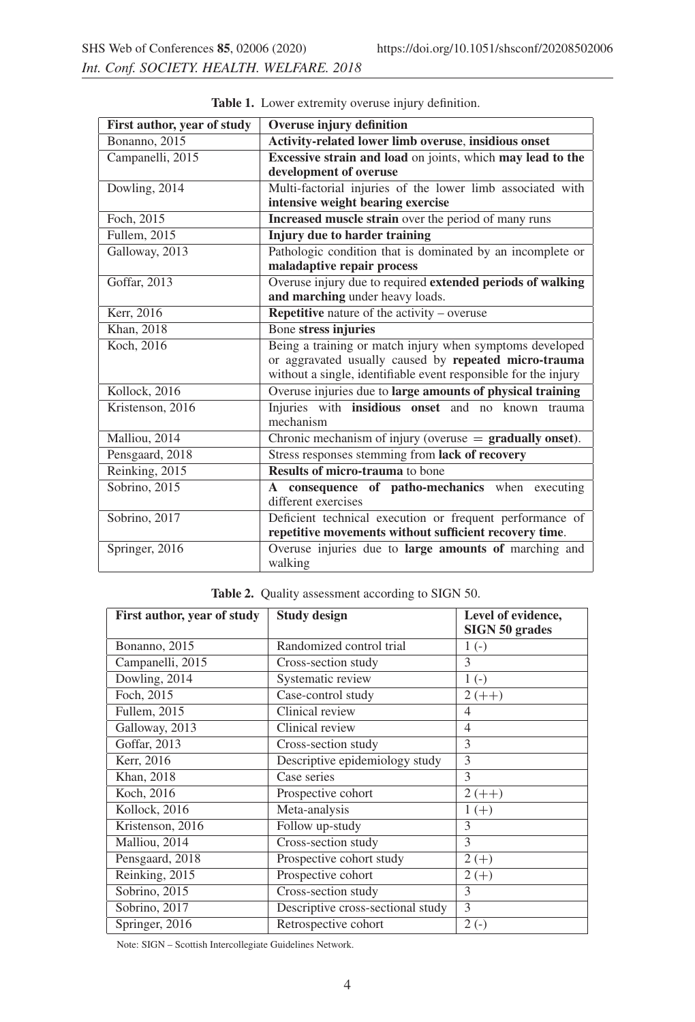| First author, year of study | <b>Overuse injury definition</b>                                |  |  |
|-----------------------------|-----------------------------------------------------------------|--|--|
| Bonanno, 2015               | Activity-related lower limb overuse, insidious onset            |  |  |
| Campanelli, 2015            | Excessive strain and load on joints, which may lead to the      |  |  |
|                             | development of overuse                                          |  |  |
| Dowling, 2014               | Multi-factorial injuries of the lower limb associated with      |  |  |
|                             | intensive weight bearing exercise                               |  |  |
| Foch, 2015                  | Increased muscle strain over the period of many runs            |  |  |
| Fullem, 2015                | Injury due to harder training                                   |  |  |
| Galloway, 2013              | Pathologic condition that is dominated by an incomplete or      |  |  |
|                             | maladaptive repair process                                      |  |  |
| Goffar, 2013                | Overuse injury due to required extended periods of walking      |  |  |
|                             | and marching under heavy loads.                                 |  |  |
| Kerr, 2016                  | <b>Repetitive</b> nature of the activity $-$ overuse            |  |  |
| Khan, 2018                  | Bone stress injuries                                            |  |  |
| Koch, 2016                  | Being a training or match injury when symptoms developed        |  |  |
|                             | or aggravated usually caused by repeated micro-trauma           |  |  |
|                             | without a single, identifiable event responsible for the injury |  |  |
| Kollock, 2016               | Overuse injuries due to large amounts of physical training      |  |  |
| Kristenson, 2016            | Injuries with insidious onset and no known trauma               |  |  |
|                             | mechanism                                                       |  |  |
| Malliou, 2014               | Chronic mechanism of injury (overuse $=$ gradually onset).      |  |  |
| Pensgaard, 2018             | Stress responses stemming from lack of recovery                 |  |  |
| Reinking, 2015              | <b>Results of micro-trauma</b> to bone                          |  |  |
| Sobrino, 2015               | A consequence of patho-mechanics when executing                 |  |  |
|                             | different exercises                                             |  |  |
| Sobrino, 2017               | Deficient technical execution or frequent performance of        |  |  |
|                             | repetitive movements without sufficient recovery time.          |  |  |
| Springer, 2016              | Overuse injuries due to large amounts of marching and           |  |  |
|                             | walking                                                         |  |  |

<span id="page-3-0"></span>**Table 1.** Lower extremity overuse injury definition.

|  |  | Table 2. Quality assessment according to SIGN 50. |  |  |  |
|--|--|---------------------------------------------------|--|--|--|
|--|--|---------------------------------------------------|--|--|--|

<span id="page-3-1"></span>

| First author, year of study | <b>Study design</b>               | Level of evidence, |  |
|-----------------------------|-----------------------------------|--------------------|--|
|                             |                                   | SIGN 50 grades     |  |
| Bonanno, 2015               | Randomized control trial          | $1(-)$             |  |
| Campanelli, 2015            | Cross-section study               | 3                  |  |
| Dowling, 2014               | Systematic review                 | $1(-)$             |  |
| Foch, 2015                  | Case-control study                | $2 (++)$           |  |
| Fullem, 2015                | Clinical review                   | 4                  |  |
| Galloway, 2013              | Clinical review                   | $\overline{4}$     |  |
| Goffar, 2013                | Cross-section study               | 3                  |  |
| Kerr, 2016                  | Descriptive epidemiology study    | 3                  |  |
| Khan, 2018                  | Case series                       | 3                  |  |
| Koch, 2016                  | Prospective cohort                | $2 (++)$           |  |
| Kollock, 2016               | Meta-analysis                     | $1 (+)$            |  |
| Kristenson, 2016            | Follow up-study                   | 3                  |  |
| Malliou, 2014               | Cross-section study               | 3                  |  |
| Pensgaard, 2018             | Prospective cohort study          | $2 (+)$            |  |
| Reinking, 2015              | Prospective cohort                | $2 (+)$            |  |
| Sobrino, 2015               | Cross-section study               | 3                  |  |
| Sobrino, 2017               | Descriptive cross-sectional study | 3                  |  |
| Springer, 2016              | Retrospective cohort              | $2(-)$             |  |

Note: SIGN – Scottish Intercollegiate Guidelines Network.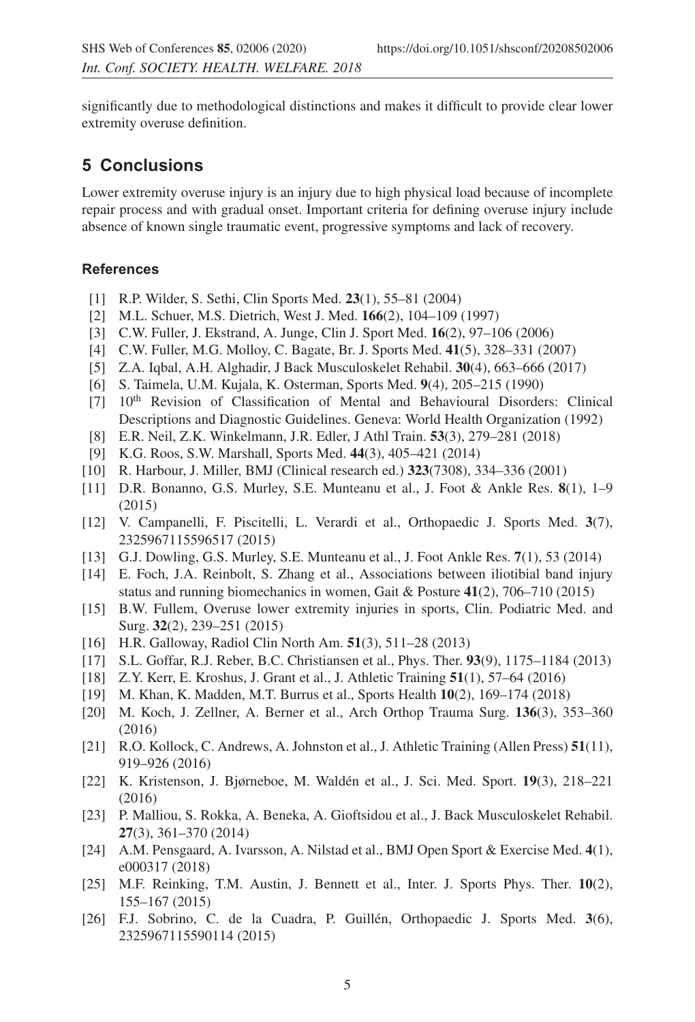significantly due to methodological distinctions and makes it difficult to provide clear lower extremity overuse definition.

### **5 Conclusions**

Lower extremity overuse injury is an injury due to high physical load because of incomplete repair process and with gradual onset. Important criteria for defining overuse injury include absence of known single traumatic event, progressive symptoms and lack of recovery.

#### <span id="page-4-0"></span>**References**

- [1] R.P. Wilder, S. Sethi, Clin Sports Med. **23**(1), 55–81 (2004)
- <span id="page-4-1"></span>[2] M.L. Schuer, M.S. Dietrich, West J. Med. **166**(2), 104–109 (1997)
- <span id="page-4-2"></span>[3] C.W. Fuller, J. Ekstrand, A. Junge, Clin J. Sport Med. **16**(2), 97–106 (2006)
- <span id="page-4-3"></span>[4] C.W. Fuller, M.G. Molloy, C. Bagate, Br. J. Sports Med. **41**(5), 328–331 (2007)
- <span id="page-4-4"></span>[5] Z.A. Iqbal, A.H. Alghadir, J Back Musculoskelet Rehabil. **30**(4), 663–666 (2017)
- <span id="page-4-5"></span>[6] S. Taimela, U.M. Kujala, K. Osterman, Sports Med. **9**(4), 205–215 (1990)
- <span id="page-4-6"></span>[7] 10th Revision of Classification of Mental and Behavioural Disorders: Clinical Descriptions and Diagnostic Guidelines. Geneva: World Health Organization (1992)
- [8] E.R. Neil, Z.K. Winkelmann, J.R. Edler, J Athl Train. **53**(3), 279–281 (2018)
- [9] K.G. Roos, S.W. Marshall, Sports Med. **44**(3), 405–421 (2014)
- <span id="page-4-9"></span><span id="page-4-8"></span><span id="page-4-7"></span>[10] R. Harbour, J. Miller, BMJ (Clinical research ed.) **323**(7308), 334–336 (2001)
- [11] D.R. Bonanno, G.S. Murley, S.E. Munteanu et al., J. Foot & Ankle Res. **8**(1), 1–9 (2015)
- [12] V. Campanelli, F. Piscitelli, L. Verardi et al., Orthopaedic J. Sports Med. **3**(7), 2325967115596517 (2015)
- [13] G.J. Dowling, G.S. Murley, S.E. Munteanu et al., J. Foot Ankle Res. **7**(1), 53 (2014)
- [14] E. Foch, J.A. Reinbolt, S. Zhang et al., Associations between iliotibial band injury status and running biomechanics in women, Gait & Posture **41**(2), 706–710 (2015)
- [15] B.W. Fullem, Overuse lower extremity injuries in sports, Clin. Podiatric Med. and Surg. **32**(2), 239–251 (2015)
- [16] H.R. Galloway, Radiol Clin North Am. **51**(3), 511–28 (2013)
- [17] S.L. Goffar, R.J. Reber, B.C. Christiansen et al., Phys. Ther. **93**(9), 1175–1184 (2013)
- [18] Z.Y. Kerr, E. Kroshus, J. Grant et al., J. Athletic Training **51**(1), 57–64 (2016)
- [19] M. Khan, K. Madden, M.T. Burrus et al., Sports Health **10**(2), 169–174 (2018)
- [20] M. Koch, J. Zellner, A. Berner et al., Arch Orthop Trauma Surg. **136**(3), 353–360 (2016)
- [21] R.O. Kollock, C. Andrews, A. Johnston et al., J. Athletic Training (Allen Press) **51**(11), 919–926 (2016)
- [22] K. Kristenson, J. Bjørneboe, M. Waldén et al., J. Sci. Med. Sport. **19**(3), 218–221 (2016)
- [23] P. Malliou, S. Rokka, A. Beneka, A. Gioftsidou et al., J. Back Musculoskelet Rehabil. **27**(3), 361–370 (2014)
- [24] A.M. Pensgaard, A. Ivarsson, A. Nilstad et al., BMJ Open Sport & Exercise Med. **4**(1), e000317 (2018)
- [25] M.F. Reinking, T.M. Austin, J. Bennett et al., Inter. J. Sports Phys. Ther. **10**(2), 155–167 (2015)
- [26] F.J. Sobrino, C. de la Cuadra, P. Guillén, Orthopaedic J. Sports Med. **3**(6), 2325967115590114 (2015)